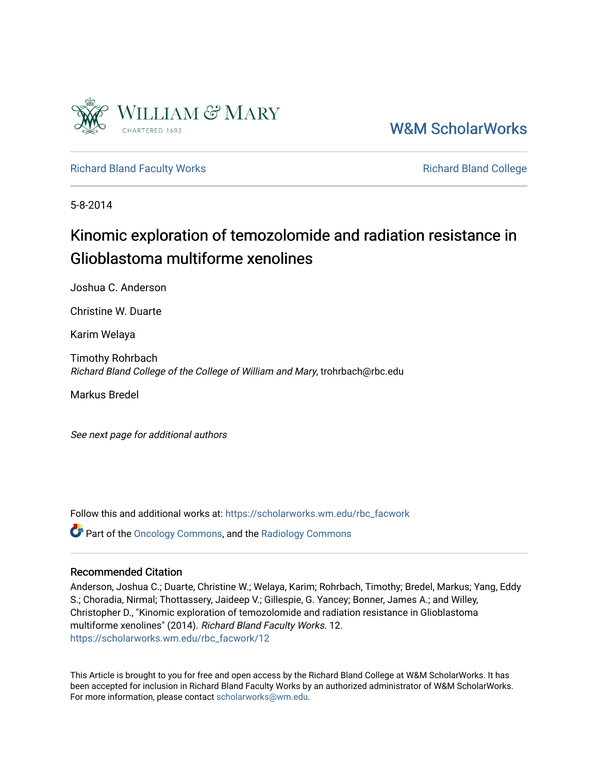

# [W&M ScholarWorks](https://scholarworks.wm.edu/)

[Richard Bland Faculty Works](https://scholarworks.wm.edu/rbc_facwork) **Richard Bland College** Richard Bland College

5-8-2014

# Kinomic exploration of temozolomide and radiation resistance in Glioblastoma multiforme xenolines

Joshua C. Anderson

Christine W. Duarte

Karim Welaya

Timothy Rohrbach Richard Bland College of the College of William and Mary, trohrbach@rbc.edu

Markus Bredel

See next page for additional authors

Follow this and additional works at: [https://scholarworks.wm.edu/rbc\\_facwork](https://scholarworks.wm.edu/rbc_facwork?utm_source=scholarworks.wm.edu%2Frbc_facwork%2F12&utm_medium=PDF&utm_campaign=PDFCoverPages) 

Part of the [Oncology Commons,](http://network.bepress.com/hgg/discipline/694?utm_source=scholarworks.wm.edu%2Frbc_facwork%2F12&utm_medium=PDF&utm_campaign=PDFCoverPages) and the [Radiology Commons](http://network.bepress.com/hgg/discipline/705?utm_source=scholarworks.wm.edu%2Frbc_facwork%2F12&utm_medium=PDF&utm_campaign=PDFCoverPages)

## Recommended Citation

Anderson, Joshua C.; Duarte, Christine W.; Welaya, Karim; Rohrbach, Timothy; Bredel, Markus; Yang, Eddy S.; Choradia, Nirmal; Thottassery, Jaideep V.; Gillespie, G. Yancey; Bonner, James A.; and Willey, Christopher D., "Kinomic exploration of temozolomide and radiation resistance in Glioblastoma multiforme xenolines" (2014). Richard Bland Faculty Works. 12. [https://scholarworks.wm.edu/rbc\\_facwork/12](https://scholarworks.wm.edu/rbc_facwork/12?utm_source=scholarworks.wm.edu%2Frbc_facwork%2F12&utm_medium=PDF&utm_campaign=PDFCoverPages)

This Article is brought to you for free and open access by the Richard Bland College at W&M ScholarWorks. It has been accepted for inclusion in Richard Bland Faculty Works by an authorized administrator of W&M ScholarWorks. For more information, please contact [scholarworks@wm.edu](mailto:scholarworks@wm.edu).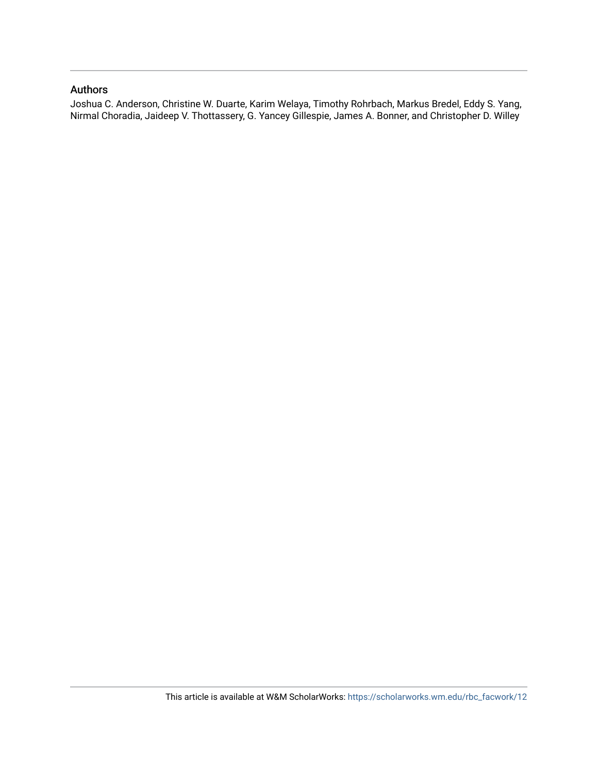## Authors

Joshua C. Anderson, Christine W. Duarte, Karim Welaya, Timothy Rohrbach, Markus Bredel, Eddy S. Yang, Nirmal Choradia, Jaideep V. Thottassery, G. Yancey Gillespie, James A. Bonner, and Christopher D. Willey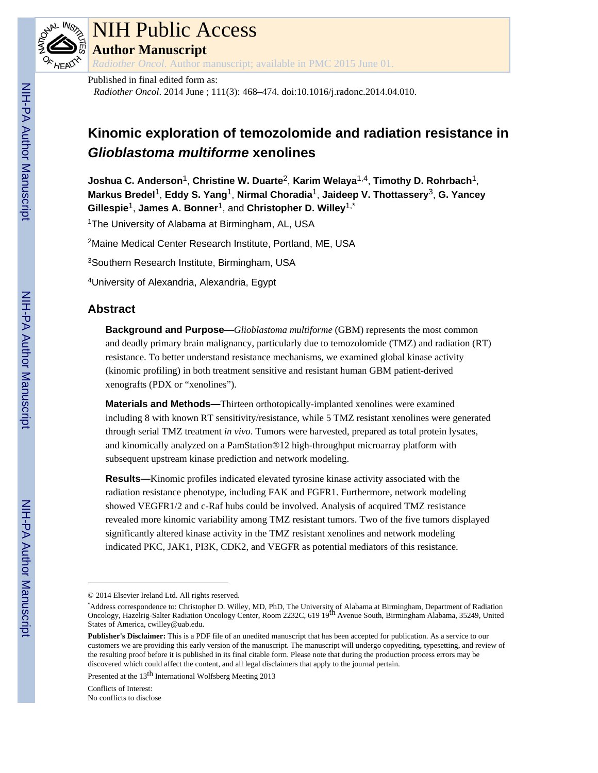

# NIH Public Access

**Author Manuscript**

*Radiother Oncol*. Author manuscript; available in PMC 2015 June 01.

# Published in final edited form as:

*Radiother Oncol*. 2014 June ; 111(3): 468–474. doi:10.1016/j.radonc.2014.04.010.

# **Kinomic exploration of temozolomide and radiation resistance in Glioblastoma multiforme xenolines**

**Joshua C. Anderson**1, **Christine W. Duarte**2, **Karim Welaya**1,4, **Timothy D. Rohrbach**1, **Markus Bredel**1, **Eddy S. Yang**1, **Nirmal Choradia**1, **Jaideep V. Thottassery**3, **G. Yancey Gillespie**1, **James A. Bonner**1, and **Christopher D. Willey**1,\*

<sup>1</sup>The University of Alabama at Birmingham, AL, USA

<sup>2</sup>Maine Medical Center Research Institute, Portland, ME, USA

<sup>3</sup>Southern Research Institute, Birmingham, USA

<sup>4</sup>University of Alexandria, Alexandria, Egypt

# **Abstract**

**Background and Purpose—***Glioblastoma multiforme* (GBM) represents the most common and deadly primary brain malignancy, particularly due to temozolomide (TMZ) and radiation (RT) resistance. To better understand resistance mechanisms, we examined global kinase activity (kinomic profiling) in both treatment sensitive and resistant human GBM patient-derived xenografts (PDX or "xenolines").

**Materials and Methods—**Thirteen orthotopically-implanted xenolines were examined including 8 with known RT sensitivity/resistance, while 5 TMZ resistant xenolines were generated through serial TMZ treatment *in vivo*. Tumors were harvested, prepared as total protein lysates, and kinomically analyzed on a PamStation®12 high-throughput microarray platform with subsequent upstream kinase prediction and network modeling.

**Results—**Kinomic profiles indicated elevated tyrosine kinase activity associated with the radiation resistance phenotype, including FAK and FGFR1. Furthermore, network modeling showed VEGFR1/2 and c-Raf hubs could be involved. Analysis of acquired TMZ resistance revealed more kinomic variability among TMZ resistant tumors. Two of the five tumors displayed significantly altered kinase activity in the TMZ resistant xenolines and network modeling indicated PKC, JAK1, PI3K, CDK2, and VEGFR as potential mediators of this resistance.

Presented at the 13<sup>th</sup> International Wolfsberg Meeting 2013

Conflicts of Interest: No conflicts to disclose

<sup>© 2014</sup> Elsevier Ireland Ltd. All rights reserved.

<sup>\*</sup>Address correspondence to: Christopher D. Willey, MD, PhD, The University of Alabama at Birmingham, Department of Radiation<br>Oncology, Hazelrig-Salter Radiation Oncology Center, Room 2232C, 619 19<sup>th</sup> Avenue South, Birming States of America, cwilley@uab.edu.

**Publisher's Disclaimer:** This is a PDF file of an unedited manuscript that has been accepted for publication. As a service to our customers we are providing this early version of the manuscript. The manuscript will undergo copyediting, typesetting, and review of the resulting proof before it is published in its final citable form. Please note that during the production process errors may be discovered which could affect the content, and all legal disclaimers that apply to the journal pertain.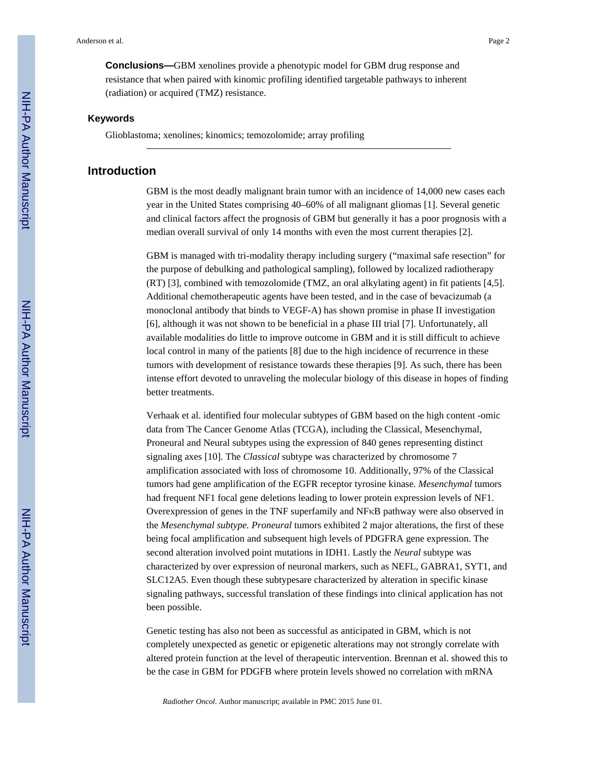**Conclusions—**GBM xenolines provide a phenotypic model for GBM drug response and resistance that when paired with kinomic profiling identified targetable pathways to inherent (radiation) or acquired (TMZ) resistance.

#### **Keywords**

Glioblastoma; xenolines; kinomics; temozolomide; array profiling

#### **Introduction**

GBM is the most deadly malignant brain tumor with an incidence of 14,000 new cases each year in the United States comprising 40–60% of all malignant gliomas [1]. Several genetic and clinical factors affect the prognosis of GBM but generally it has a poor prognosis with a median overall survival of only 14 months with even the most current therapies [2].

GBM is managed with tri-modality therapy including surgery ("maximal safe resection" for the purpose of debulking and pathological sampling), followed by localized radiotherapy (RT) [3], combined with temozolomide (TMZ, an oral alkylating agent) in fit patients [4,5]. Additional chemotherapeutic agents have been tested, and in the case of bevacizumab (a monoclonal antibody that binds to VEGF-A) has shown promise in phase II investigation [6], although it was not shown to be beneficial in a phase III trial [7]. Unfortunately, all available modalities do little to improve outcome in GBM and it is still difficult to achieve local control in many of the patients [8] due to the high incidence of recurrence in these tumors with development of resistance towards these therapies [9]. As such, there has been intense effort devoted to unraveling the molecular biology of this disease in hopes of finding better treatments.

Verhaak et al. identified four molecular subtypes of GBM based on the high content -omic data from The Cancer Genome Atlas (TCGA), including the Classical, Mesenchymal, Proneural and Neural subtypes using the expression of 840 genes representing distinct signaling axes [10]. The *Classical* subtype was characterized by chromosome 7 amplification associated with loss of chromosome 10. Additionally, 97% of the Classical tumors had gene amplification of the EGFR receptor tyrosine kinase. *Mesenchymal* tumors had frequent NF1 focal gene deletions leading to lower protein expression levels of NF1. Overexpression of genes in the TNF superfamily and NFκB pathway were also observed in the *Mesenchymal subtype. Proneural* tumors exhibited 2 major alterations, the first of these being focal amplification and subsequent high levels of PDGFRA gene expression. The second alteration involved point mutations in IDH1. Lastly the *Neural* subtype was characterized by over expression of neuronal markers, such as NEFL, GABRA1, SYT1, and SLC12A5. Even though these subtypesare characterized by alteration in specific kinase signaling pathways, successful translation of these findings into clinical application has not been possible.

Genetic testing has also not been as successful as anticipated in GBM, which is not completely unexpected as genetic or epigenetic alterations may not strongly correlate with altered protein function at the level of therapeutic intervention. Brennan et al. showed this to be the case in GBM for PDGFB where protein levels showed no correlation with mRNA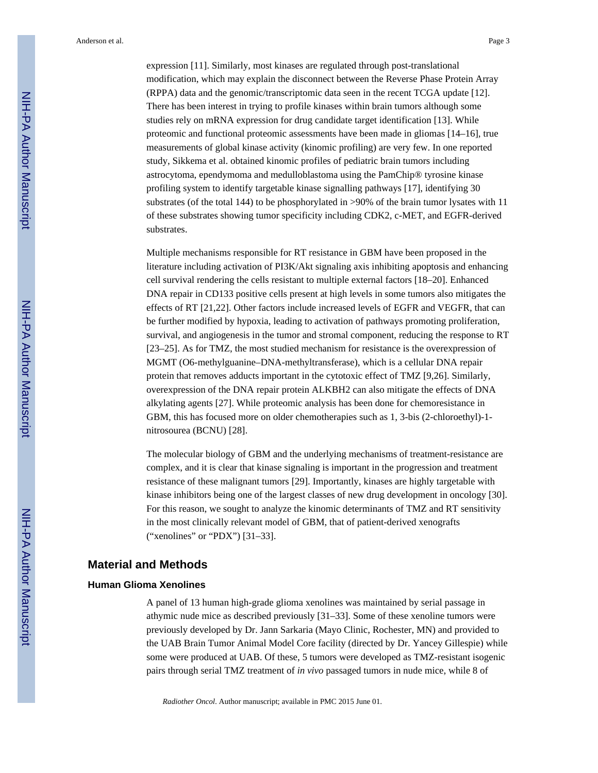Anderson et al. Page 3

expression [11]. Similarly, most kinases are regulated through post-translational modification, which may explain the disconnect between the Reverse Phase Protein Array (RPPA) data and the genomic/transcriptomic data seen in the recent TCGA update [12]. There has been interest in trying to profile kinases within brain tumors although some studies rely on mRNA expression for drug candidate target identification [13]. While proteomic and functional proteomic assessments have been made in gliomas [14–16], true measurements of global kinase activity (kinomic profiling) are very few. In one reported study, Sikkema et al. obtained kinomic profiles of pediatric brain tumors including astrocytoma, ependymoma and medulloblastoma using the PamChip® tyrosine kinase profiling system to identify targetable kinase signalling pathways [17], identifying 30 substrates (of the total 144) to be phosphorylated in >90% of the brain tumor lysates with 11 of these substrates showing tumor specificity including CDK2, c-MET, and EGFR-derived substrates.

Multiple mechanisms responsible for RT resistance in GBM have been proposed in the literature including activation of PI3K/Akt signaling axis inhibiting apoptosis and enhancing cell survival rendering the cells resistant to multiple external factors [18–20]. Enhanced DNA repair in CD133 positive cells present at high levels in some tumors also mitigates the effects of RT [21,22]. Other factors include increased levels of EGFR and VEGFR, that can be further modified by hypoxia, leading to activation of pathways promoting proliferation, survival, and angiogenesis in the tumor and stromal component, reducing the response to RT [23–25]. As for TMZ, the most studied mechanism for resistance is the overexpression of MGMT (O6-methylguanine–DNA-methyltransferase), which is a cellular DNA repair protein that removes adducts important in the cytotoxic effect of TMZ [9,26]. Similarly, overexpression of the DNA repair protein ALKBH2 can also mitigate the effects of DNA alkylating agents [27]. While proteomic analysis has been done for chemoresistance in GBM, this has focused more on older chemotherapies such as 1, 3-bis (2-chloroethyl)-1 nitrosourea (BCNU) [28].

The molecular biology of GBM and the underlying mechanisms of treatment-resistance are complex, and it is clear that kinase signaling is important in the progression and treatment resistance of these malignant tumors [29]. Importantly, kinases are highly targetable with kinase inhibitors being one of the largest classes of new drug development in oncology [30]. For this reason, we sought to analyze the kinomic determinants of TMZ and RT sensitivity in the most clinically relevant model of GBM, that of patient-derived xenografts ("xenolines" or "PDX") [31–33].

## **Material and Methods**

#### **Human Glioma Xenolines**

A panel of 13 human high-grade glioma xenolines was maintained by serial passage in athymic nude mice as described previously [31–33]. Some of these xenoline tumors were previously developed by Dr. Jann Sarkaria (Mayo Clinic, Rochester, MN) and provided to the UAB Brain Tumor Animal Model Core facility (directed by Dr. Yancey Gillespie) while some were produced at UAB. Of these, 5 tumors were developed as TMZ-resistant isogenic pairs through serial TMZ treatment of *in vivo* passaged tumors in nude mice, while 8 of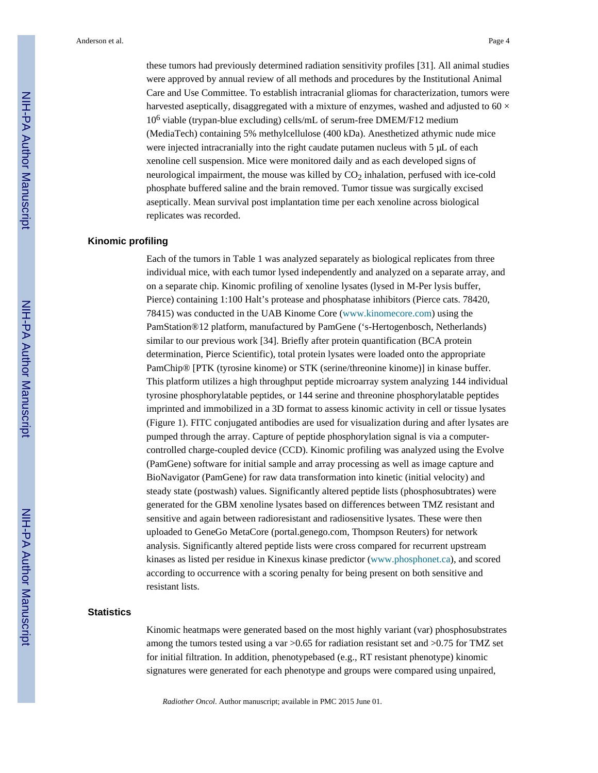these tumors had previously determined radiation sensitivity profiles [31]. All animal studies were approved by annual review of all methods and procedures by the Institutional Animal Care and Use Committee. To establish intracranial gliomas for characterization, tumors were harvested aseptically, disaggregated with a mixture of enzymes, washed and adjusted to 60  $\times$ 10<sup>6</sup> viable (trypan-blue excluding) cells/mL of serum-free DMEM/F12 medium (MediaTech) containing 5% methylcellulose (400 kDa). Anesthetized athymic nude mice were injected intracranially into the right caudate putamen nucleus with 5  $\mu$ L of each xenoline cell suspension. Mice were monitored daily and as each developed signs of neurological impairment, the mouse was killed by  $CO<sub>2</sub>$  inhalation, perfused with ice-cold phosphate buffered saline and the brain removed. Tumor tissue was surgically excised aseptically. Mean survival post implantation time per each xenoline across biological replicates was recorded.

#### **Kinomic profiling**

Each of the tumors in Table 1 was analyzed separately as biological replicates from three individual mice, with each tumor lysed independently and analyzed on a separate array, and on a separate chip. Kinomic profiling of xenoline lysates (lysed in M-Per lysis buffer, Pierce) containing 1:100 Halt's protease and phosphatase inhibitors (Pierce cats. 78420, 78415) was conducted in the UAB Kinome Core [\(www.kinomecore.com](http://www.kinomecore.com)) using the PamStation®12 platform, manufactured by PamGene ('s-Hertogenbosch, Netherlands) similar to our previous work [34]. Briefly after protein quantification (BCA protein determination, Pierce Scientific), total protein lysates were loaded onto the appropriate PamChip® [PTK (tyrosine kinome) or STK (serine/threonine kinome)] in kinase buffer. This platform utilizes a high throughput peptide microarray system analyzing 144 individual tyrosine phosphorylatable peptides, or 144 serine and threonine phosphorylatable peptides imprinted and immobilized in a 3D format to assess kinomic activity in cell or tissue lysates (Figure 1). FITC conjugated antibodies are used for visualization during and after lysates are pumped through the array. Capture of peptide phosphorylation signal is via a computercontrolled charge-coupled device (CCD). Kinomic profiling was analyzed using the Evolve (PamGene) software for initial sample and array processing as well as image capture and BioNavigator (PamGene) for raw data transformation into kinetic (initial velocity) and steady state (postwash) values. Significantly altered peptide lists (phosphosubtrates) were generated for the GBM xenoline lysates based on differences between TMZ resistant and sensitive and again between radioresistant and radiosensitive lysates. These were then uploaded to GeneGo MetaCore (portal.genego.com, Thompson Reuters) for network analysis. Significantly altered peptide lists were cross compared for recurrent upstream kinases as listed per residue in Kinexus kinase predictor ([www.phosphonet.ca](http://www.phosphonet.ca)), and scored according to occurrence with a scoring penalty for being present on both sensitive and resistant lists.

#### **Statistics**

Kinomic heatmaps were generated based on the most highly variant (var) phosphosubstrates among the tumors tested using a var >0.65 for radiation resistant set and >0.75 for TMZ set for initial filtration. In addition, phenotypebased (e.g., RT resistant phenotype) kinomic signatures were generated for each phenotype and groups were compared using unpaired,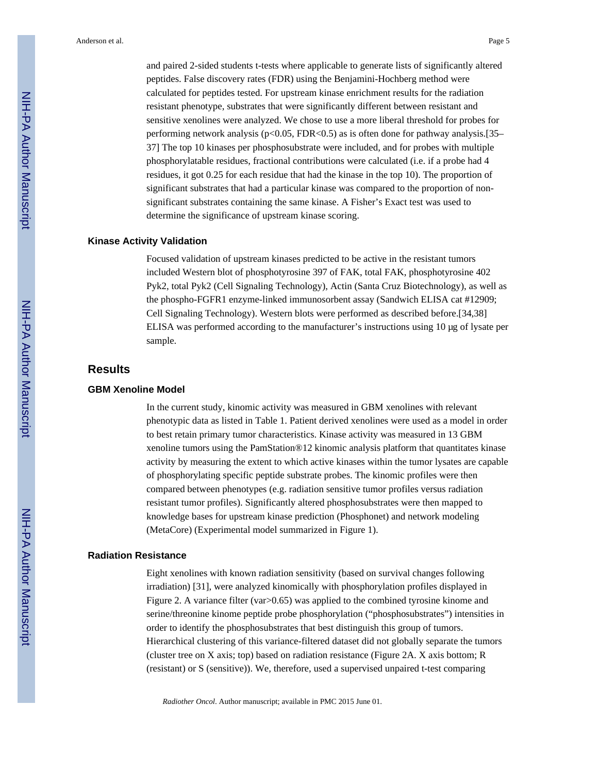and paired 2-sided students t-tests where applicable to generate lists of significantly altered peptides. False discovery rates (FDR) using the Benjamini-Hochberg method were calculated for peptides tested. For upstream kinase enrichment results for the radiation resistant phenotype, substrates that were significantly different between resistant and sensitive xenolines were analyzed. We chose to use a more liberal threshold for probes for performing network analysis ( $p<0.05$ , FDR $<0.5$ ) as is often done for pathway analysis.[35– 37] The top 10 kinases per phosphosubstrate were included, and for probes with multiple phosphorylatable residues, fractional contributions were calculated (i.e. if a probe had 4 residues, it got 0.25 for each residue that had the kinase in the top 10). The proportion of significant substrates that had a particular kinase was compared to the proportion of nonsignificant substrates containing the same kinase. A Fisher's Exact test was used to determine the significance of upstream kinase scoring.

#### **Kinase Activity Validation**

Focused validation of upstream kinases predicted to be active in the resistant tumors included Western blot of phosphotyrosine 397 of FAK, total FAK, phosphotyrosine 402 Pyk2, total Pyk2 (Cell Signaling Technology), Actin (Santa Cruz Biotechnology), as well as the phospho-FGFR1 enzyme-linked immunosorbent assay (Sandwich ELISA cat #12909; Cell Signaling Technology). Western blots were performed as described before.[34,38] ELISA was performed according to the manufacturer's instructions using 10 µg of lysate per sample.

#### **Results**

#### **GBM Xenoline Model**

In the current study, kinomic activity was measured in GBM xenolines with relevant phenotypic data as listed in Table 1. Patient derived xenolines were used as a model in order to best retain primary tumor characteristics. Kinase activity was measured in 13 GBM xenoline tumors using the PamStation®12 kinomic analysis platform that quantitates kinase activity by measuring the extent to which active kinases within the tumor lysates are capable of phosphorylating specific peptide substrate probes. The kinomic profiles were then compared between phenotypes (e.g. radiation sensitive tumor profiles versus radiation resistant tumor profiles). Significantly altered phosphosubstrates were then mapped to knowledge bases for upstream kinase prediction (Phosphonet) and network modeling (MetaCore) (Experimental model summarized in Figure 1).

#### **Radiation Resistance**

Eight xenolines with known radiation sensitivity (based on survival changes following irradiation) [31], were analyzed kinomically with phosphorylation profiles displayed in Figure 2. A variance filter (var > 0.65) was applied to the combined tyrosine kinome and serine/threonine kinome peptide probe phosphorylation ("phosphosubstrates") intensities in order to identify the phosphosubstrates that best distinguish this group of tumors. Hierarchical clustering of this variance-filtered dataset did not globally separate the tumors (cluster tree on X axis; top) based on radiation resistance (Figure 2A. X axis bottom; R (resistant) or S (sensitive)). We, therefore, used a supervised unpaired t-test comparing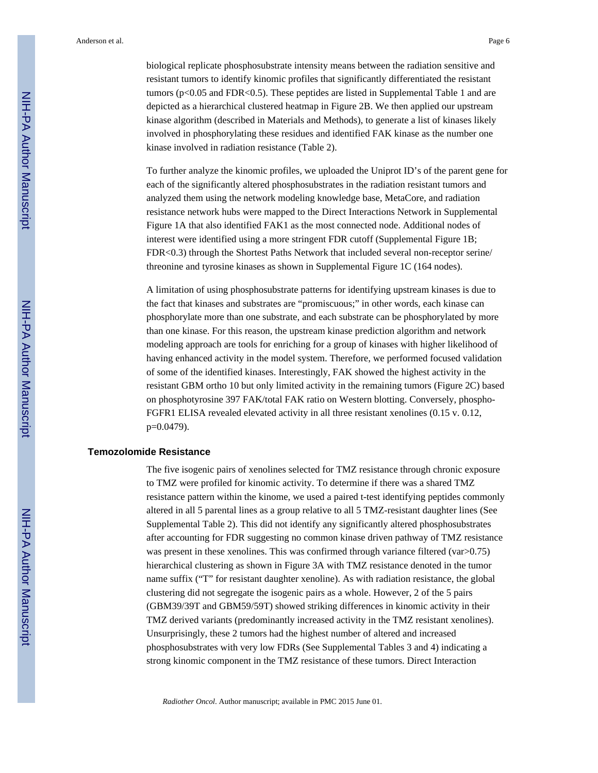biological replicate phosphosubstrate intensity means between the radiation sensitive and resistant tumors to identify kinomic profiles that significantly differentiated the resistant tumors (p<0.05 and FDR<0.5). These peptides are listed in Supplemental Table 1 and are depicted as a hierarchical clustered heatmap in Figure 2B. We then applied our upstream kinase algorithm (described in Materials and Methods), to generate a list of kinases likely involved in phosphorylating these residues and identified FAK kinase as the number one kinase involved in radiation resistance (Table 2).

To further analyze the kinomic profiles, we uploaded the Uniprot ID's of the parent gene for each of the significantly altered phosphosubstrates in the radiation resistant tumors and analyzed them using the network modeling knowledge base, MetaCore, and radiation resistance network hubs were mapped to the Direct Interactions Network in Supplemental Figure 1A that also identified FAK1 as the most connected node. Additional nodes of interest were identified using a more stringent FDR cutoff (Supplemental Figure 1B; FDR<0.3) through the Shortest Paths Network that included several non-receptor serine/ threonine and tyrosine kinases as shown in Supplemental Figure 1C (164 nodes).

A limitation of using phosphosubstrate patterns for identifying upstream kinases is due to the fact that kinases and substrates are "promiscuous;" in other words, each kinase can phosphorylate more than one substrate, and each substrate can be phosphorylated by more than one kinase. For this reason, the upstream kinase prediction algorithm and network modeling approach are tools for enriching for a group of kinases with higher likelihood of having enhanced activity in the model system. Therefore, we performed focused validation of some of the identified kinases. Interestingly, FAK showed the highest activity in the resistant GBM ortho 10 but only limited activity in the remaining tumors (Figure 2C) based on phosphotyrosine 397 FAK/total FAK ratio on Western blotting. Conversely, phospho-FGFR1 ELISA revealed elevated activity in all three resistant xenolines (0.15 v. 0.12, p=0.0479).

#### **Temozolomide Resistance**

The five isogenic pairs of xenolines selected for TMZ resistance through chronic exposure to TMZ were profiled for kinomic activity. To determine if there was a shared TMZ resistance pattern within the kinome, we used a paired t-test identifying peptides commonly altered in all 5 parental lines as a group relative to all 5 TMZ-resistant daughter lines (See Supplemental Table 2). This did not identify any significantly altered phosphosubstrates after accounting for FDR suggesting no common kinase driven pathway of TMZ resistance was present in these xenolines. This was confirmed through variance filtered (var  $>0.75$ ) hierarchical clustering as shown in Figure 3A with TMZ resistance denoted in the tumor name suffix ("T" for resistant daughter xenoline). As with radiation resistance, the global clustering did not segregate the isogenic pairs as a whole. However, 2 of the 5 pairs (GBM39/39T and GBM59/59T) showed striking differences in kinomic activity in their TMZ derived variants (predominantly increased activity in the TMZ resistant xenolines). Unsurprisingly, these 2 tumors had the highest number of altered and increased phosphosubstrates with very low FDRs (See Supplemental Tables 3 and 4) indicating a strong kinomic component in the TMZ resistance of these tumors. Direct Interaction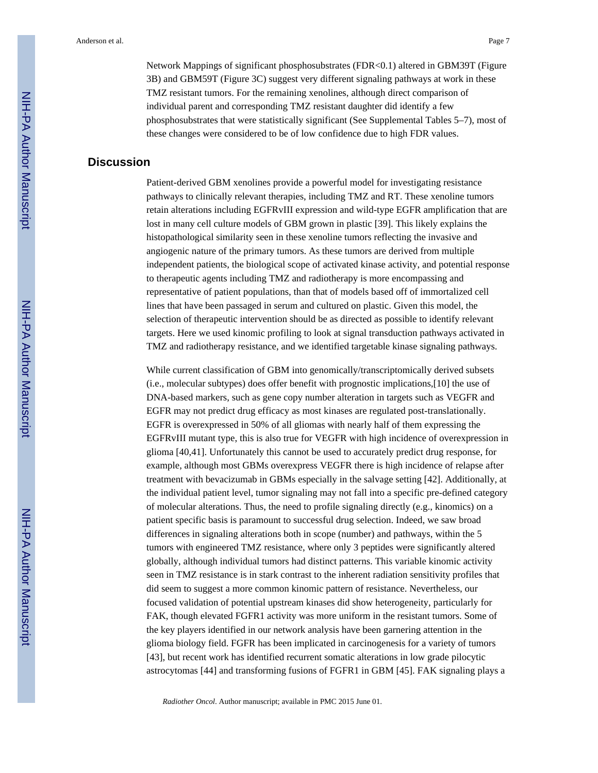Network Mappings of significant phosphosubstrates (FDR<0.1) altered in GBM39T (Figure 3B) and GBM59T (Figure 3C) suggest very different signaling pathways at work in these TMZ resistant tumors. For the remaining xenolines, although direct comparison of individual parent and corresponding TMZ resistant daughter did identify a few phosphosubstrates that were statistically significant (See Supplemental Tables 5–7), most of these changes were considered to be of low confidence due to high FDR values.

#### **Discussion**

Patient-derived GBM xenolines provide a powerful model for investigating resistance pathways to clinically relevant therapies, including TMZ and RT. These xenoline tumors retain alterations including EGFRvIII expression and wild-type EGFR amplification that are lost in many cell culture models of GBM grown in plastic [39]. This likely explains the histopathological similarity seen in these xenoline tumors reflecting the invasive and angiogenic nature of the primary tumors. As these tumors are derived from multiple independent patients, the biological scope of activated kinase activity, and potential response to therapeutic agents including TMZ and radiotherapy is more encompassing and representative of patient populations, than that of models based off of immortalized cell lines that have been passaged in serum and cultured on plastic. Given this model, the selection of therapeutic intervention should be as directed as possible to identify relevant targets. Here we used kinomic profiling to look at signal transduction pathways activated in TMZ and radiotherapy resistance, and we identified targetable kinase signaling pathways.

While current classification of GBM into genomically/transcriptomically derived subsets (i.e., molecular subtypes) does offer benefit with prognostic implications,[10] the use of DNA-based markers, such as gene copy number alteration in targets such as VEGFR and EGFR may not predict drug efficacy as most kinases are regulated post-translationally. EGFR is overexpressed in 50% of all gliomas with nearly half of them expressing the EGFRvIII mutant type, this is also true for VEGFR with high incidence of overexpression in glioma [40,41]. Unfortunately this cannot be used to accurately predict drug response, for example, although most GBMs overexpress VEGFR there is high incidence of relapse after treatment with bevacizumab in GBMs especially in the salvage setting [42]. Additionally, at the individual patient level, tumor signaling may not fall into a specific pre-defined category of molecular alterations. Thus, the need to profile signaling directly (e.g., kinomics) on a patient specific basis is paramount to successful drug selection. Indeed, we saw broad differences in signaling alterations both in scope (number) and pathways, within the 5 tumors with engineered TMZ resistance, where only 3 peptides were significantly altered globally, although individual tumors had distinct patterns. This variable kinomic activity seen in TMZ resistance is in stark contrast to the inherent radiation sensitivity profiles that did seem to suggest a more common kinomic pattern of resistance. Nevertheless, our focused validation of potential upstream kinases did show heterogeneity, particularly for FAK, though elevated FGFR1 activity was more uniform in the resistant tumors. Some of the key players identified in our network analysis have been garnering attention in the glioma biology field. FGFR has been implicated in carcinogenesis for a variety of tumors [43], but recent work has identified recurrent somatic alterations in low grade pilocytic astrocytomas [44] and transforming fusions of FGFR1 in GBM [45]. FAK signaling plays a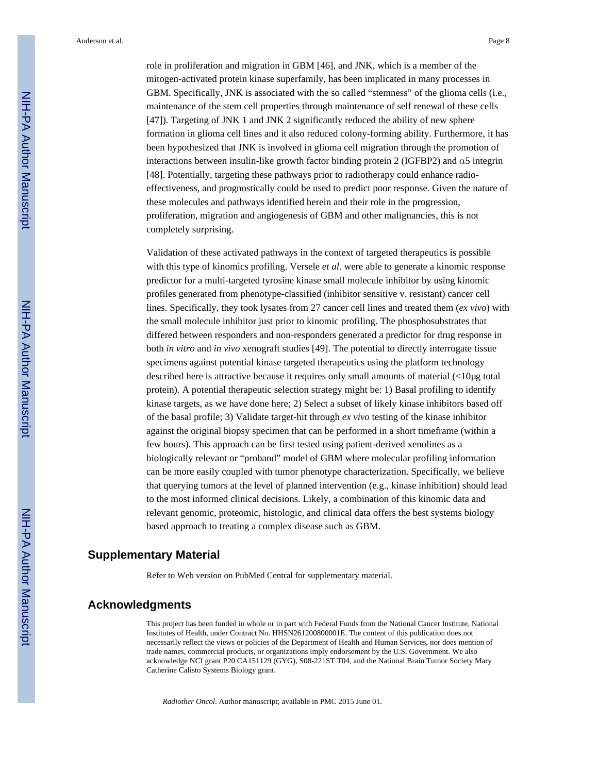Anderson et al. Page 8

role in proliferation and migration in GBM [46], and JNK, which is a member of the mitogen-activated protein kinase superfamily, has been implicated in many processes in GBM. Specifically, JNK is associated with the so called "stemness" of the glioma cells (i.e., maintenance of the stem cell properties through maintenance of self renewal of these cells [47]). Targeting of JNK 1 and JNK 2 significantly reduced the ability of new sphere formation in glioma cell lines and it also reduced colony-forming ability. Furthermore, it has been hypothesized that JNK is involved in glioma cell migration through the promotion of interactions between insulin-like growth factor binding protein 2 (IGFBP2) and  $\alpha$ 5 integrin [48]. Potentially, targeting these pathways prior to radiotherapy could enhance radioeffectiveness, and prognostically could be used to predict poor response. Given the nature of these molecules and pathways identified herein and their role in the progression, proliferation, migration and angiogenesis of GBM and other malignancies, this is not completely surprising.

Validation of these activated pathways in the context of targeted therapeutics is possible with this type of kinomics profiling. Versele *et al.* were able to generate a kinomic response predictor for a multi-targeted tyrosine kinase small molecule inhibitor by using kinomic profiles generated from phenotype-classified (inhibitor sensitive v. resistant) cancer cell lines. Specifically, they took lysates from 27 cancer cell lines and treated them (*ex vivo*) with the small molecule inhibitor just prior to kinomic profiling. The phosphosubstrates that differed between responders and non-responders generated a predictor for drug response in both *in vitro* and *in vivo* xenograft studies [49]. The potential to directly interrogate tissue specimens against potential kinase targeted therapeutics using the platform technology described here is attractive because it requires only small amounts of material (<10µg total protein). A potential therapeutic selection strategy might be: 1) Basal profiling to identify kinase targets, as we have done here; 2) Select a subset of likely kinase inhibitors based off of the basal profile; 3) Validate target-hit through *ex vivo* testing of the kinase inhibitor against the original biopsy specimen that can be performed in a short timeframe (within a few hours). This approach can be first tested using patient-derived xenolines as a biologically relevant or "proband" model of GBM where molecular profiling information can be more easily coupled with tumor phenotype characterization. Specifically, we believe that querying tumors at the level of planned intervention (e.g., kinase inhibition) should lead to the most informed clinical decisions. Likely, a combination of this kinomic data and relevant genomic, proteomic, histologic, and clinical data offers the best systems biology based approach to treating a complex disease such as GBM.

## **Supplementary Material**

Refer to Web version on PubMed Central for supplementary material.

#### **Acknowledgments**

This project has been funded in whole or in part with Federal Funds from the National Cancer Institute, National Institutes of Health, under Contract No. HHSN261200800001E. The content of this publication does not necessarily reflect the views or policies of the Department of Health and Human Services, nor does mention of trade names, commercial products, or organizations imply endorsement by the U.S. Government. We also acknowledge NCI grant P20 CA151129 (GYG), S08-221ST T04, and the National Brain Tumor Society Mary Catherine Calisto Systems Biology grant.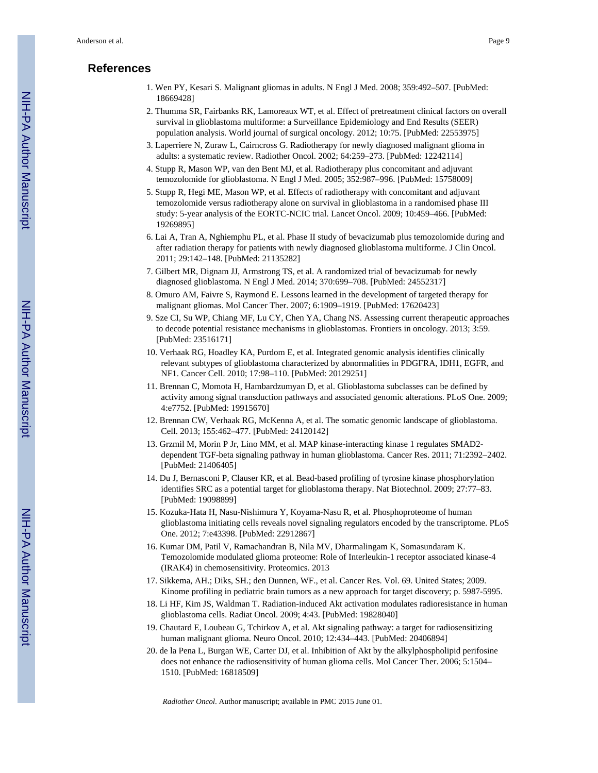# **References**

- 1. Wen PY, Kesari S. Malignant gliomas in adults. N Engl J Med. 2008; 359:492–507. [PubMed: 18669428]
- 2. Thumma SR, Fairbanks RK, Lamoreaux WT, et al. Effect of pretreatment clinical factors on overall survival in glioblastoma multiforme: a Surveillance Epidemiology and End Results (SEER) population analysis. World journal of surgical oncology. 2012; 10:75. [PubMed: 22553975]
- 3. Laperriere N, Zuraw L, Cairncross G. Radiotherapy for newly diagnosed malignant glioma in adults: a systematic review. Radiother Oncol. 2002; 64:259–273. [PubMed: 12242114]
- 4. Stupp R, Mason WP, van den Bent MJ, et al. Radiotherapy plus concomitant and adjuvant temozolomide for glioblastoma. N Engl J Med. 2005; 352:987–996. [PubMed: 15758009]
- 5. Stupp R, Hegi ME, Mason WP, et al. Effects of radiotherapy with concomitant and adjuvant temozolomide versus radiotherapy alone on survival in glioblastoma in a randomised phase III study: 5-year analysis of the EORTC-NCIC trial. Lancet Oncol. 2009; 10:459–466. [PubMed: 19269895]
- 6. Lai A, Tran A, Nghiemphu PL, et al. Phase II study of bevacizumab plus temozolomide during and after radiation therapy for patients with newly diagnosed glioblastoma multiforme. J Clin Oncol. 2011; 29:142–148. [PubMed: 21135282]
- 7. Gilbert MR, Dignam JJ, Armstrong TS, et al. A randomized trial of bevacizumab for newly diagnosed glioblastoma. N Engl J Med. 2014; 370:699–708. [PubMed: 24552317]
- 8. Omuro AM, Faivre S, Raymond E. Lessons learned in the development of targeted therapy for malignant gliomas. Mol Cancer Ther. 2007; 6:1909–1919. [PubMed: 17620423]
- 9. Sze CI, Su WP, Chiang MF, Lu CY, Chen YA, Chang NS. Assessing current therapeutic approaches to decode potential resistance mechanisms in glioblastomas. Frontiers in oncology. 2013; 3:59. [PubMed: 23516171]
- 10. Verhaak RG, Hoadley KA, Purdom E, et al. Integrated genomic analysis identifies clinically relevant subtypes of glioblastoma characterized by abnormalities in PDGFRA, IDH1, EGFR, and NF1. Cancer Cell. 2010; 17:98–110. [PubMed: 20129251]
- 11. Brennan C, Momota H, Hambardzumyan D, et al. Glioblastoma subclasses can be defined by activity among signal transduction pathways and associated genomic alterations. PLoS One. 2009; 4:e7752. [PubMed: 19915670]
- 12. Brennan CW, Verhaak RG, McKenna A, et al. The somatic genomic landscape of glioblastoma. Cell. 2013; 155:462–477. [PubMed: 24120142]
- 13. Grzmil M, Morin P Jr, Lino MM, et al. MAP kinase-interacting kinase 1 regulates SMAD2 dependent TGF-beta signaling pathway in human glioblastoma. Cancer Res. 2011; 71:2392–2402. [PubMed: 21406405]
- 14. Du J, Bernasconi P, Clauser KR, et al. Bead-based profiling of tyrosine kinase phosphorylation identifies SRC as a potential target for glioblastoma therapy. Nat Biotechnol. 2009; 27:77–83. [PubMed: 19098899]
- 15. Kozuka-Hata H, Nasu-Nishimura Y, Koyama-Nasu R, et al. Phosphoproteome of human glioblastoma initiating cells reveals novel signaling regulators encoded by the transcriptome. PLoS One. 2012; 7:e43398. [PubMed: 22912867]
- 16. Kumar DM, Patil V, Ramachandran B, Nila MV, Dharmalingam K, Somasundaram K. Temozolomide modulated glioma proteome: Role of Interleukin-1 receptor associated kinase-4 (IRAK4) in chemosensitivity. Proteomics. 2013
- 17. Sikkema, AH.; Diks, SH.; den Dunnen, WF., et al. Cancer Res. Vol. 69. United States; 2009. Kinome profiling in pediatric brain tumors as a new approach for target discovery; p. 5987-5995.
- 18. Li HF, Kim JS, Waldman T. Radiation-induced Akt activation modulates radioresistance in human glioblastoma cells. Radiat Oncol. 2009; 4:43. [PubMed: 19828040]
- 19. Chautard E, Loubeau G, Tchirkov A, et al. Akt signaling pathway: a target for radiosensitizing human malignant glioma. Neuro Oncol. 2010; 12:434–443. [PubMed: 20406894]
- 20. de la Pena L, Burgan WE, Carter DJ, et al. Inhibition of Akt by the alkylphospholipid perifosine does not enhance the radiosensitivity of human glioma cells. Mol Cancer Ther. 2006; 5:1504– 1510. [PubMed: 16818509]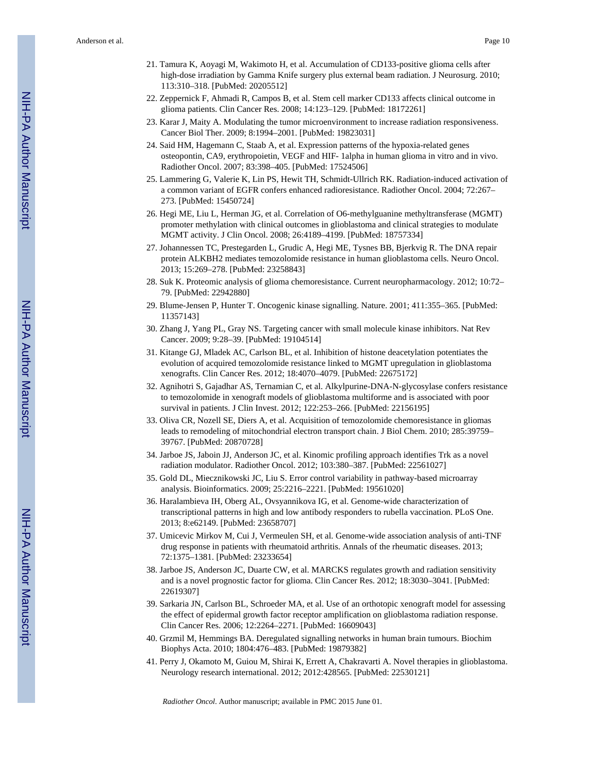- 21. Tamura K, Aoyagi M, Wakimoto H, et al. Accumulation of CD133-positive glioma cells after high-dose irradiation by Gamma Knife surgery plus external beam radiation. J Neurosurg. 2010; 113:310–318. [PubMed: 20205512]
- 22. Zeppernick F, Ahmadi R, Campos B, et al. Stem cell marker CD133 affects clinical outcome in glioma patients. Clin Cancer Res. 2008; 14:123–129. [PubMed: 18172261]
- 23. Karar J, Maity A. Modulating the tumor microenvironment to increase radiation responsiveness. Cancer Biol Ther. 2009; 8:1994–2001. [PubMed: 19823031]
- 24. Said HM, Hagemann C, Staab A, et al. Expression patterns of the hypoxia-related genes osteopontin, CA9, erythropoietin, VEGF and HIF- 1alpha in human glioma in vitro and in vivo. Radiother Oncol. 2007; 83:398–405. [PubMed: 17524506]
- 25. Lammering G, Valerie K, Lin PS, Hewit TH, Schmidt-Ullrich RK. Radiation-induced activation of a common variant of EGFR confers enhanced radioresistance. Radiother Oncol. 2004; 72:267– 273. [PubMed: 15450724]
- 26. Hegi ME, Liu L, Herman JG, et al. Correlation of O6-methylguanine methyltransferase (MGMT) promoter methylation with clinical outcomes in glioblastoma and clinical strategies to modulate MGMT activity. J Clin Oncol. 2008; 26:4189–4199. [PubMed: 18757334]
- 27. Johannessen TC, Prestegarden L, Grudic A, Hegi ME, Tysnes BB, Bjerkvig R. The DNA repair protein ALKBH2 mediates temozolomide resistance in human glioblastoma cells. Neuro Oncol. 2013; 15:269–278. [PubMed: 23258843]
- 28. Suk K. Proteomic analysis of glioma chemoresistance. Current neuropharmacology. 2012; 10:72– 79. [PubMed: 22942880]
- 29. Blume-Jensen P, Hunter T. Oncogenic kinase signalling. Nature. 2001; 411:355–365. [PubMed: 11357143]
- 30. Zhang J, Yang PL, Gray NS. Targeting cancer with small molecule kinase inhibitors. Nat Rev Cancer. 2009; 9:28–39. [PubMed: 19104514]
- 31. Kitange GJ, Mladek AC, Carlson BL, et al. Inhibition of histone deacetylation potentiates the evolution of acquired temozolomide resistance linked to MGMT upregulation in glioblastoma xenografts. Clin Cancer Res. 2012; 18:4070–4079. [PubMed: 22675172]
- 32. Agnihotri S, Gajadhar AS, Ternamian C, et al. Alkylpurine-DNA-N-glycosylase confers resistance to temozolomide in xenograft models of glioblastoma multiforme and is associated with poor survival in patients. J Clin Invest. 2012; 122:253–266. [PubMed: 22156195]
- 33. Oliva CR, Nozell SE, Diers A, et al. Acquisition of temozolomide chemoresistance in gliomas leads to remodeling of mitochondrial electron transport chain. J Biol Chem. 2010; 285:39759– 39767. [PubMed: 20870728]
- 34. Jarboe JS, Jaboin JJ, Anderson JC, et al. Kinomic profiling approach identifies Trk as a novel radiation modulator. Radiother Oncol. 2012; 103:380–387. [PubMed: 22561027]
- 35. Gold DL, Miecznikowski JC, Liu S. Error control variability in pathway-based microarray analysis. Bioinformatics. 2009; 25:2216–2221. [PubMed: 19561020]
- 36. Haralambieva IH, Oberg AL, Ovsyannikova IG, et al. Genome-wide characterization of transcriptional patterns in high and low antibody responders to rubella vaccination. PLoS One. 2013; 8:e62149. [PubMed: 23658707]
- 37. Umicevic Mirkov M, Cui J, Vermeulen SH, et al. Genome-wide association analysis of anti-TNF drug response in patients with rheumatoid arthritis. Annals of the rheumatic diseases. 2013; 72:1375–1381. [PubMed: 23233654]
- 38. Jarboe JS, Anderson JC, Duarte CW, et al. MARCKS regulates growth and radiation sensitivity and is a novel prognostic factor for glioma. Clin Cancer Res. 2012; 18:3030–3041. [PubMed: 22619307]
- 39. Sarkaria JN, Carlson BL, Schroeder MA, et al. Use of an orthotopic xenograft model for assessing the effect of epidermal growth factor receptor amplification on glioblastoma radiation response. Clin Cancer Res. 2006; 12:2264–2271. [PubMed: 16609043]
- 40. Grzmil M, Hemmings BA. Deregulated signalling networks in human brain tumours. Biochim Biophys Acta. 2010; 1804:476–483. [PubMed: 19879382]
- 41. Perry J, Okamoto M, Guiou M, Shirai K, Errett A, Chakravarti A. Novel therapies in glioblastoma. Neurology research international. 2012; 2012:428565. [PubMed: 22530121]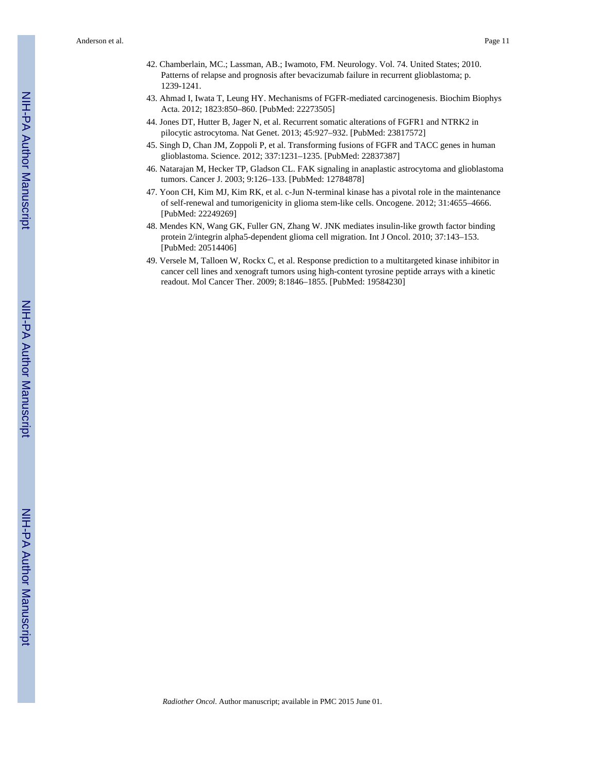- 42. Chamberlain, MC.; Lassman, AB.; Iwamoto, FM. Neurology. Vol. 74. United States; 2010. Patterns of relapse and prognosis after bevacizumab failure in recurrent glioblastoma; p. 1239-1241.
- 43. Ahmad I, Iwata T, Leung HY. Mechanisms of FGFR-mediated carcinogenesis. Biochim Biophys Acta. 2012; 1823:850–860. [PubMed: 22273505]
- 44. Jones DT, Hutter B, Jager N, et al. Recurrent somatic alterations of FGFR1 and NTRK2 in pilocytic astrocytoma. Nat Genet. 2013; 45:927–932. [PubMed: 23817572]
- 45. Singh D, Chan JM, Zoppoli P, et al. Transforming fusions of FGFR and TACC genes in human glioblastoma. Science. 2012; 337:1231–1235. [PubMed: 22837387]
- 46. Natarajan M, Hecker TP, Gladson CL. FAK signaling in anaplastic astrocytoma and glioblastoma tumors. Cancer J. 2003; 9:126–133. [PubMed: 12784878]
- 47. Yoon CH, Kim MJ, Kim RK, et al. c-Jun N-terminal kinase has a pivotal role in the maintenance of self-renewal and tumorigenicity in glioma stem-like cells. Oncogene. 2012; 31:4655–4666. [PubMed: 22249269]
- 48. Mendes KN, Wang GK, Fuller GN, Zhang W. JNK mediates insulin-like growth factor binding protein 2/integrin alpha5-dependent glioma cell migration. Int J Oncol. 2010; 37:143–153. [PubMed: 20514406]
- 49. Versele M, Talloen W, Rockx C, et al. Response prediction to a multitargeted kinase inhibitor in cancer cell lines and xenograft tumors using high-content tyrosine peptide arrays with a kinetic readout. Mol Cancer Ther. 2009; 8:1846–1855. [PubMed: 19584230]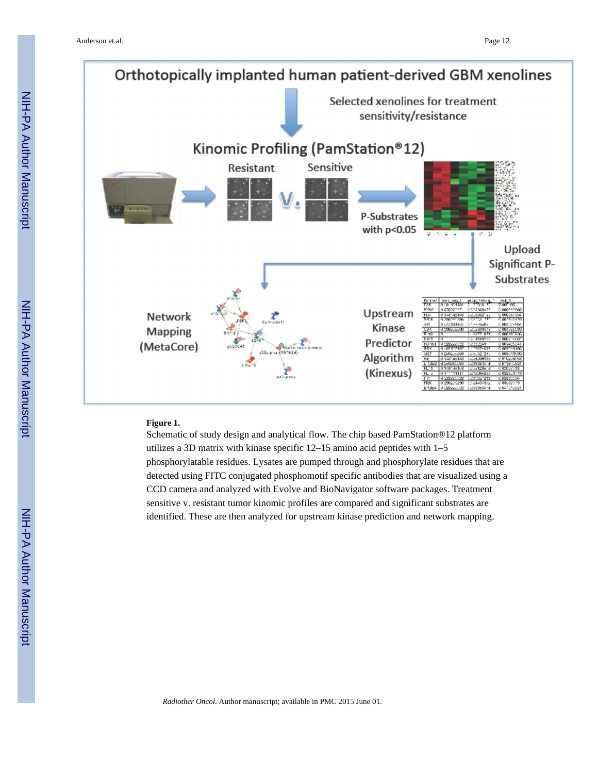

#### **Figure 1.**

Schematic of study design and analytical flow. The chip based PamStation®12 platform utilizes a 3D matrix with kinase specific 12–15 amino acid peptides with 1–5 phosphorylatable residues. Lysates are pumped through and phosphorylate residues that are detected using FITC conjugated phosphomotif specific antibodies that are visualized using a CCD camera and analyzed with Evolve and BioNavigator software packages. Treatment sensitive v. resistant tumor kinomic profiles are compared and significant substrates are identified. These are then analyzed for upstream kinase prediction and network mapping.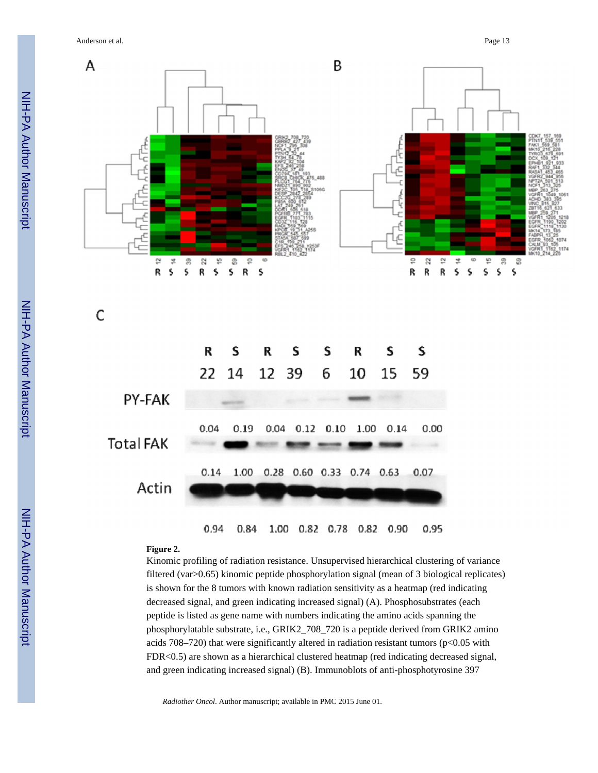Anderson et al. Page 13





|           |      | R S<br>22 14 12 39 6 10 15 59 |      | $R$ S S                            | R                    | - S  | - S  |
|-----------|------|-------------------------------|------|------------------------------------|----------------------|------|------|
| PY-FAK    |      |                               |      |                                    |                      |      |      |
| Total FAK | 0.04 | 0.19                          |      | $0.04$ $0.12$ $0.10$ $1.00$ $0.14$ |                      |      | 0.00 |
| Actin     | 0.14 | 1.00                          |      | 0.28 0.60 0.33 0.74 0.63           |                      |      | 0.07 |
|           | 0.94 | 0.84                          | 1.00 |                                    | $0.82$ $0.78$ $0.82$ | 0.90 | 0.95 |

#### **Figure 2.**

Kinomic profiling of radiation resistance. Unsupervised hierarchical clustering of variance filtered (var>0.65) kinomic peptide phosphorylation signal (mean of 3 biological replicates) is shown for the 8 tumors with known radiation sensitivity as a heatmap (red indicating decreased signal, and green indicating increased signal) (A). Phosphosubstrates (each peptide is listed as gene name with numbers indicating the amino acids spanning the phosphorylatable substrate, i.e., GRIK2\_708\_720 is a peptide derived from GRIK2 amino acids 708–720) that were significantly altered in radiation resistant tumors ( $p<0.05$  with FDR<0.5) are shown as a hierarchical clustered heatmap (red indicating decreased signal, and green indicating increased signal) (B). Immunoblots of anti-phosphotyrosine 397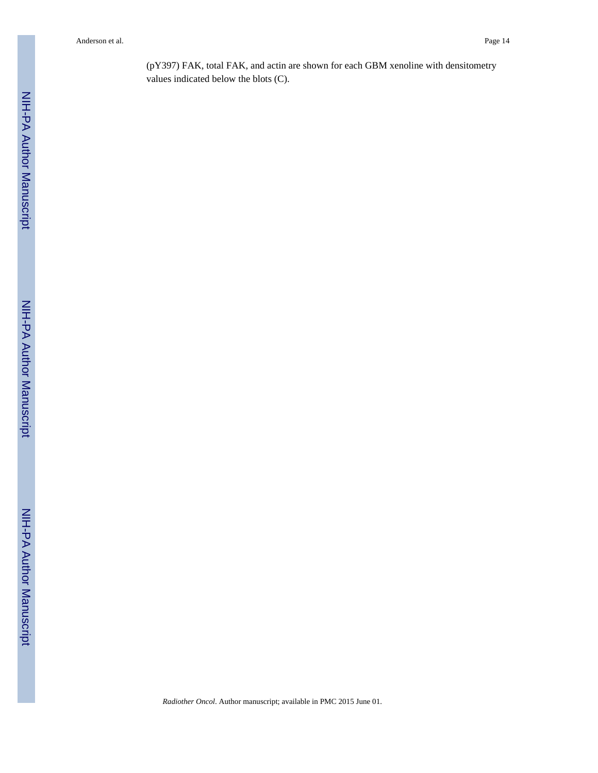Anderson et al. Page 14

(pY397) FAK, total FAK, and actin are shown for each GBM xenoline with densitometry values indicated below the blots (C).

NIH-PA Author Manuscript NIH-PA Author Manuscript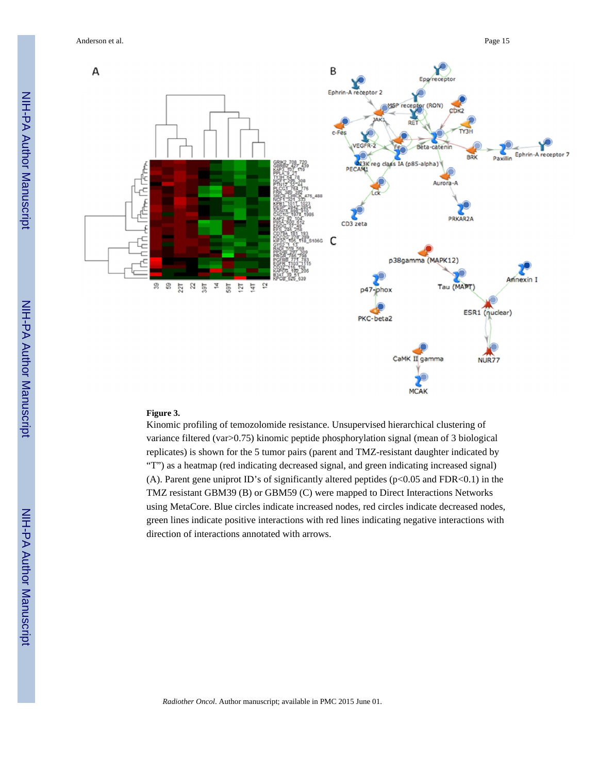Anderson et al. Page 15



#### **Figure 3.**

Kinomic profiling of temozolomide resistance. Unsupervised hierarchical clustering of variance filtered (var>0.75) kinomic peptide phosphorylation signal (mean of 3 biological replicates) is shown for the 5 tumor pairs (parent and TMZ-resistant daughter indicated by "T") as a heatmap (red indicating decreased signal, and green indicating increased signal) (A). Parent gene uniprot ID's of significantly altered peptides ( $p<0.05$  and FDR $<0.1$ ) in the TMZ resistant GBM39 (B) or GBM59 (C) were mapped to Direct Interactions Networks using MetaCore. Blue circles indicate increased nodes, red circles indicate decreased nodes, green lines indicate positive interactions with red lines indicating negative interactions with direction of interactions annotated with arrows.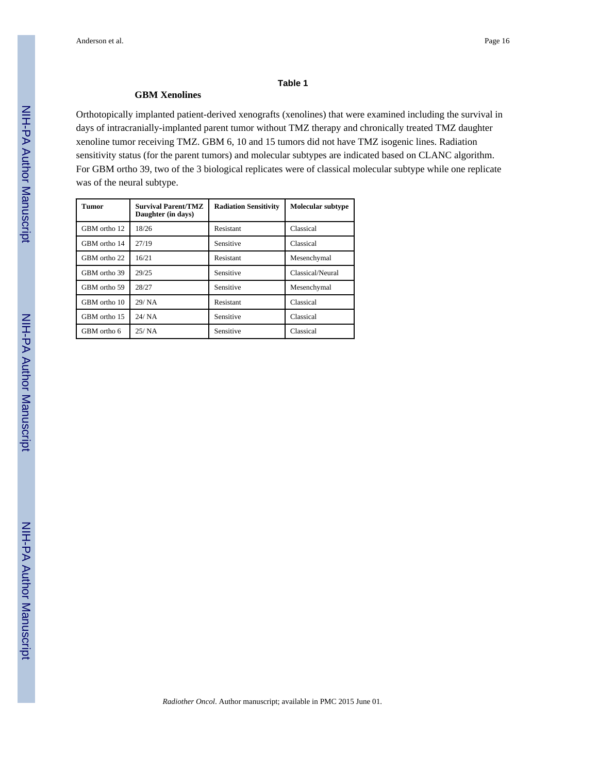#### **Table 1**

#### **GBM Xenolines**

Orthotopically implanted patient-derived xenografts (xenolines) that were examined including the survival in days of intracranially-implanted parent tumor without TMZ therapy and chronically treated TMZ daughter xenoline tumor receiving TMZ. GBM 6, 10 and 15 tumors did not have TMZ isogenic lines. Radiation sensitivity status (for the parent tumors) and molecular subtypes are indicated based on CLANC algorithm. For GBM ortho 39, two of the 3 biological replicates were of classical molecular subtype while one replicate was of the neural subtype.

| Tumor        | <b>Survival Parent/TMZ</b><br>Daughter (in days) | <b>Radiation Sensitivity</b> | Molecular subtype |
|--------------|--------------------------------------------------|------------------------------|-------------------|
| GBM ortho 12 | 18/26                                            | Resistant                    | Classical         |
| GBM ortho 14 | 27/19                                            | Sensitive                    | Classical         |
| GBM ortho 22 | 16/21                                            | <b>Resistant</b>             | Mesenchymal       |
| GBM ortho 39 | 29/25                                            | Sensitive                    | Classical/Neural  |
| GBM ortho 59 | 28/27                                            | Sensitive                    | Mesenchymal       |
| GBM ortho 10 | 29/NA                                            | <b>Resistant</b>             | Classical         |
| GBM ortho 15 | 24/NA                                            | Sensitive                    | Classical         |
| GBM ortho 6  | 25/NA                                            | Sensitive                    | Classical         |